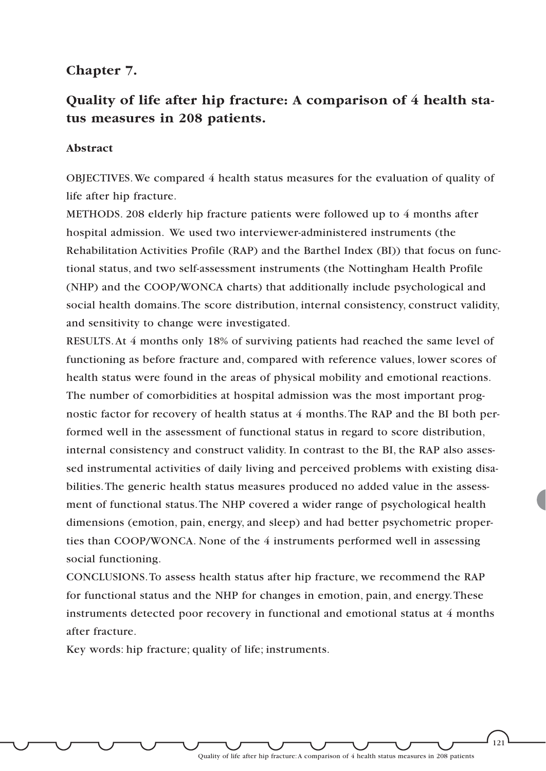### **Chapter 7.**

# **Quality of life after hip fracture: A comparison of 4 health status measures in 208 patients.**

#### **Abstract**

OBJECTIVES.We compared 4 health status measures for the evaluation of quality of life after hip fracture.

METHODS. 208 elderly hip fracture patients were followed up to 4 months after hospital admission. We used two interviewer-administered instruments (the Rehabilitation Activities Profile (RAP) and the Barthel Index (BI)) that focus on functional status, and two self-assessment instruments (the Nottingham Health Profile (NHP) and the COOP/WONCA charts) that additionally include psychological and social health domains.The score distribution, internal consistency, construct validity, and sensitivity to change were investigated.

RESULTS.At 4 months only 18% of surviving patients had reached the same level of functioning as before fracture and, compared with reference values, lower scores of health status were found in the areas of physical mobility and emotional reactions. The number of comorbidities at hospital admission was the most important prognostic factor for recovery of health status at 4 months.The RAP and the BI both performed well in the assessment of functional status in regard to score distribution, internal consistency and construct validity. In contrast to the BI, the RAP also assessed instrumental activities of daily living and perceived problems with existing disabilities.The generic health status measures produced no added value in the assessment of functional status.The NHP covered a wider range of psychological health dimensions (emotion, pain, energy, and sleep) and had better psychometric properties than COOP/WONCA. None of the 4 instruments performed well in assessing social functioning.

CONCLUSIONS.To assess health status after hip fracture, we recommend the RAP for functional status and the NHP for changes in emotion, pain, and energy.These instruments detected poor recovery in functional and emotional status at 4 months after fracture.

Key words: hip fracture; quality of life; instruments.

Quality of life after hip fracture:A comparison of 4 health status measures in 208 patients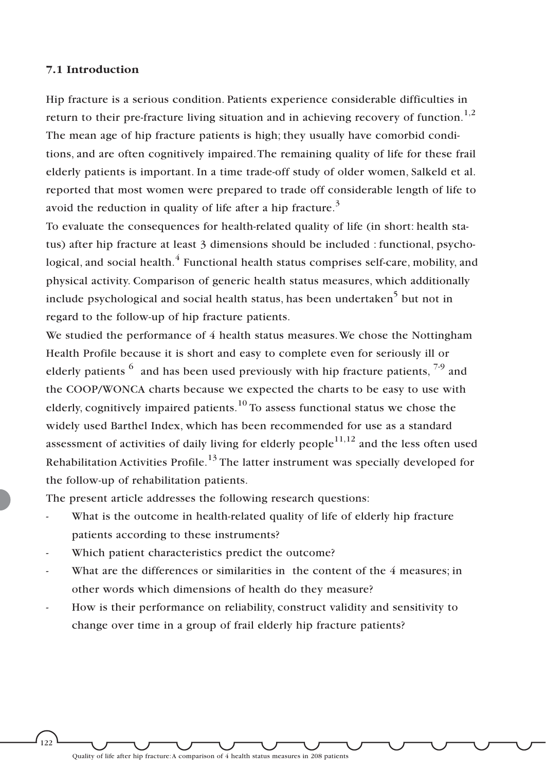#### **7.1 Introduction**

Hip fracture is a serious condition. Patients experience considerable difficulties in return to their pre-fracture living situation and in achieving recovery of function.<sup>1,2</sup> The mean age of hip fracture patients is high; they usually have comorbid conditions, and are often cognitively impaired.The remaining quality of life for these frail elderly patients is important. In a time trade-off study of older women, Salkeld et al. reported that most women were prepared to trade off considerable length of life to avoid the reduction in quality of life after a hip fracture.<sup>3</sup>

To evaluate the consequences for health-related quality of life (in short: health status) after hip fracture at least 3 dimensions should be included : functional, psychological, and social health. $4$  Functional health status comprises self-care, mobility, and physical activity. Comparison of generic health status measures, which additionally include psychological and social health status, has been undertaken<sup>5</sup> but not in regard to the follow-up of hip fracture patients.

We studied the performance of 4 health status measures.We chose the Nottingham Health Profile because it is short and easy to complete even for seriously ill or elderly patients  $6\alpha$  and has been used previously with hip fracture patients,  $7\alpha$  and the COOP/WONCA charts because we expected the charts to be easy to use with elderly, cognitively impaired patients.<sup>10</sup> To assess functional status we chose the widely used Barthel Index, which has been recommended for use as a standard assessment of activities of daily living for elderly people $11,12$  and the less often used Rehabilitation Activities Profile.<sup>13</sup> The latter instrument was specially developed for the follow-up of rehabilitation patients.

The present article addresses the following research questions:

- What is the outcome in health-related quality of life of elderly hip fracture patients according to these instruments?
- Which patient characteristics predict the outcome?
- What are the differences or similarities in the content of the 4 measures; in other words which dimensions of health do they measure?
- How is their performance on reliability, construct validity and sensitivity to change over time in a group of frail elderly hip fracture patients?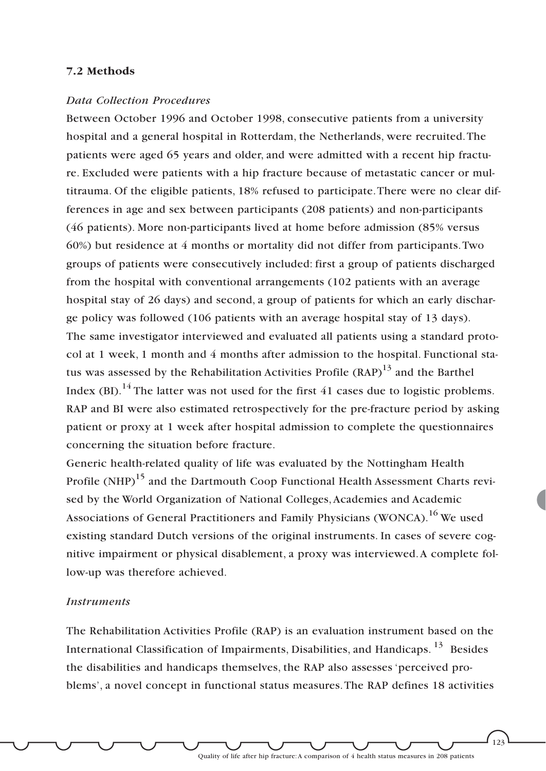### **7.2 Methods**

#### *Data Collection Procedures*

Between October 1996 and October 1998, consecutive patients from a university hospital and a general hospital in Rotterdam, the Netherlands, were recruited.The patients were aged 65 years and older, and were admitted with a recent hip fracture. Excluded were patients with a hip fracture because of metastatic cancer or multitrauma. Of the eligible patients, 18% refused to participate.There were no clear differences in age and sex between participants (208 patients) and non-participants (46 patients). More non-participants lived at home before admission (85% versus 60%) but residence at 4 months or mortality did not differ from participants.Two groups of patients were consecutively included: first a group of patients discharged from the hospital with conventional arrangements (102 patients with an average hospital stay of 26 days) and second, a group of patients for which an early discharge policy was followed (106 patients with an average hospital stay of 13 days). The same investigator interviewed and evaluated all patients using a standard protocol at 1 week, 1 month and 4 months after admission to the hospital. Functional status was assessed by the Rehabilitation Activities Profile  $(RAP)^{13}$  and the Barthel Index (BI).<sup>14</sup> The latter was not used for the first 41 cases due to logistic problems. RAP and BI were also estimated retrospectively for the pre-fracture period by asking patient or proxy at 1 week after hospital admission to complete the questionnaires concerning the situation before fracture.

Generic health-related quality of life was evaluated by the Nottingham Health Profile (NHP)<sup>15</sup> and the Dartmouth Coop Functional Health Assessment Charts revised by the World Organization of National Colleges, Academies and Academic Associations of General Practitioners and Family Physicians (WONCA).<sup>16</sup> We used existing standard Dutch versions of the original instruments. In cases of severe cognitive impairment or physical disablement, a proxy was interviewed.A complete follow-up was therefore achieved.

#### *Instruments*

The Rehabilitation Activities Profile (RAP) is an evaluation instrument based on the International Classification of Impairments, Disabilities, and Handicaps. <sup>13</sup> Besides the disabilities and handicaps themselves, the RAP also assesses 'perceived problems', a novel concept in functional status measures.The RAP defines 18 activities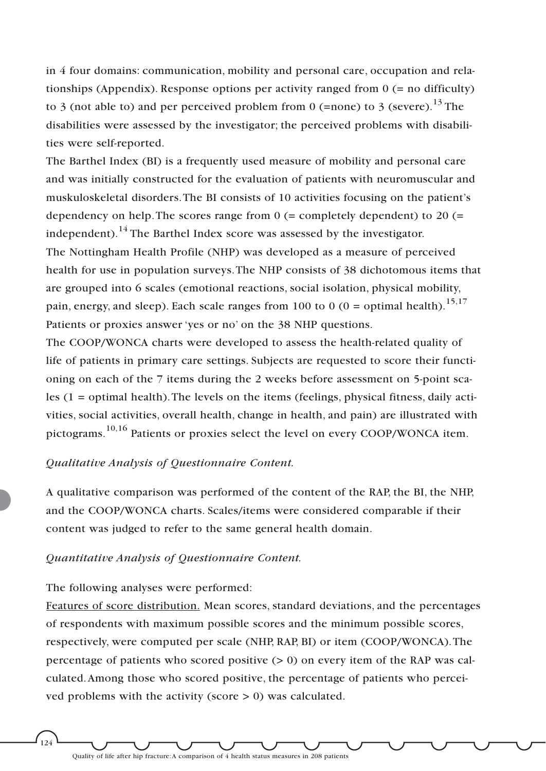in 4 four domains: communication, mobility and personal care, occupation and relationships (Appendix). Response options per activity ranged from 0 (= no difficulty) to 3 (not able to) and per perceived problem from 0 (=none) to 3 (severe).<sup>13</sup> The disabilities were assessed by the investigator; the perceived problems with disabilities were self-reported.

The Barthel Index (BI) is a frequently used measure of mobility and personal care and was initially constructed for the evaluation of patients with neuromuscular and muskuloskeletal disorders.The BI consists of 10 activities focusing on the patient's dependency on help. The scores range from  $0$  (= completely dependent) to 20 (= independent).<sup>14</sup> The Barthel Index score was assessed by the investigator. The Nottingham Health Profile (NHP) was developed as a measure of perceived health for use in population surveys.The NHP consists of 38 dichotomous items that are grouped into 6 scales (emotional reactions, social isolation, physical mobility, pain, energy, and sleep). Each scale ranges from 100 to 0 (0 = optimal health).<sup>15,17</sup> Patients or proxies answer 'yes or no' on the 38 NHP questions.

The COOP/WONCA charts were developed to assess the health-related quality of life of patients in primary care settings. Subjects are requested to score their functioning on each of the 7 items during the 2 weeks before assessment on 5-point scales (1 = optimal health).The levels on the items (feelings, physical fitness, daily activities, social activities, overall health, change in health, and pain) are illustrated with pictograms.10,16 Patients or proxies select the level on every COOP/WONCA item.

### *Qualitative Analysis of Questionnaire Content.*

A qualitative comparison was performed of the content of the RAP, the BI, the NHP, and the COOP/WONCA charts. Scales/items were considered comparable if their content was judged to refer to the same general health domain.

#### *Quantitative Analysis of Questionnaire Content.*

#### The following analyses were performed:

ر<br>124

Features of score distribution. Mean scores, standard deviations, and the percentages of respondents with maximum possible scores and the minimum possible scores, respectively, were computed per scale (NHP, RAP, BI) or item (COOP/WONCA).The percentage of patients who scored positive  $(> 0)$  on every item of the RAP was calculated.Among those who scored positive, the percentage of patients who perceived problems with the activity (score > 0) was calculated.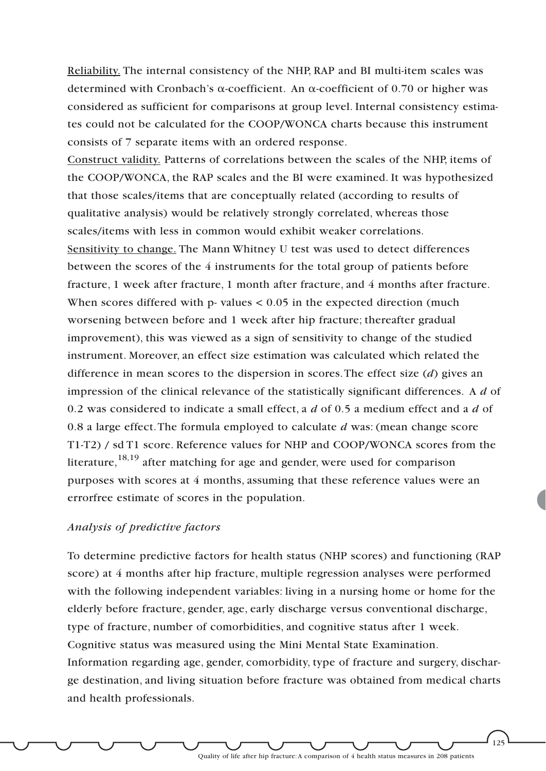Reliability. The internal consistency of the NHP, RAP and BI multi-item scales was determined with Cronbach's  $\alpha$ -coefficient. An  $\alpha$ -coefficient of 0.70 or higher was considered as sufficient for comparisons at group level. Internal consistency estimates could not be calculated for the COOP/WONCA charts because this instrument consists of 7 separate items with an ordered response.

Construct validity. Patterns of correlations between the scales of the NHP, items of the COOP/WONCA, the RAP scales and the BI were examined. It was hypothesized that those scales/items that are conceptually related (according to results of qualitative analysis) would be relatively strongly correlated, whereas those scales/items with less in common would exhibit weaker correlations. Sensitivity to change. The Mann Whitney U test was used to detect differences between the scores of the 4 instruments for the total group of patients before fracture, 1 week after fracture, 1 month after fracture, and 4 months after fracture. When scores differed with  $p$ - values  $< 0.05$  in the expected direction (much worsening between before and 1 week after hip fracture; thereafter gradual improvement), this was viewed as a sign of sensitivity to change of the studied instrument. Moreover, an effect size estimation was calculated which related the difference in mean scores to the dispersion in scores.The effect size (*d*) gives an impression of the clinical relevance of the statistically significant differences. A *d* of 0.2 was considered to indicate a small effect, a *d* of 0.5 a medium effect and a *d* of 0.8 a large effect.The formula employed to calculate *d* was: (mean change score T1-T2) / sd T1 score. Reference values for NHP and COOP/WONCA scores from the literature,  $18,19$  after matching for age and gender, were used for comparison purposes with scores at 4 months, assuming that these reference values were an errorfree estimate of scores in the population.

### *Analysis of predictive factors*

To determine predictive factors for health status (NHP scores) and functioning (RAP score) at 4 months after hip fracture, multiple regression analyses were performed with the following independent variables: living in a nursing home or home for the elderly before fracture, gender, age, early discharge versus conventional discharge, type of fracture, number of comorbidities, and cognitive status after 1 week. Cognitive status was measured using the Mini Mental State Examination. Information regarding age, gender, comorbidity, type of fracture and surgery, discharge destination, and living situation before fracture was obtained from medical charts and health professionals.

Quality of life after hip fracture:A comparison of 4 health status measures in 208 patients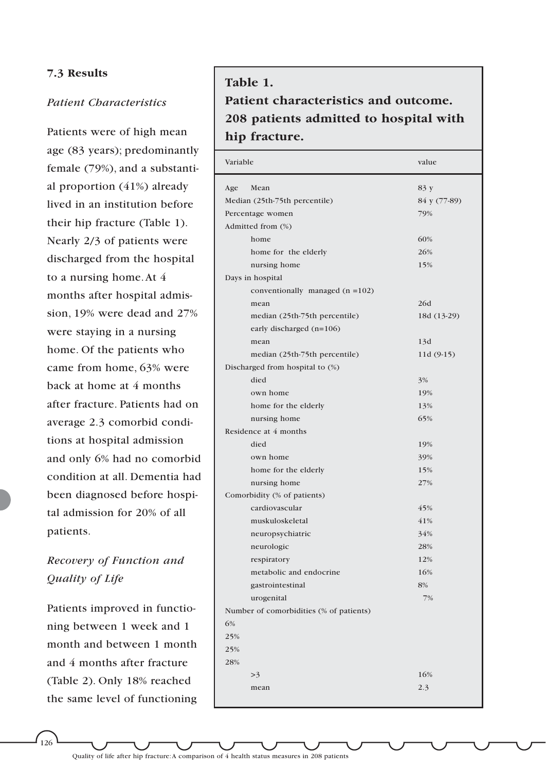### **7.3 Results**

#### *Patient Characteristics*

Patients were of high mean age (83 years); predominantly female (79%), and a substantial proportion (41%) already lived in an institution before their hip fracture (Table 1). Nearly 2/3 of patients were discharged from the hospital to a nursing home.At 4 months after hospital admission, 19% were dead and 27% were staying in a nursing home. Of the patients who came from home, 63% were back at home at 4 months after fracture. Patients had on average 2.3 comorbid conditions at hospital admission and only 6% had no comorbid condition at all. Dementia had been diagnosed before hospital admission for 20% of all patients.

## *Recovery of Function and Quality of Life*

Patients improved in functioning between 1 week and 1 month and between 1 month and 4 months after fracture (Table 2). Only 18% reached the same level of functioning

# **Table 1. Patient characteristics and outcome. 208 patients admitted to hospital with hip fracture.**

| Age<br>Mean<br>83 y<br>Median (25th-75th percentile)<br>84 y (77-89)<br>Percentage women<br>79%<br>Admitted from (%)<br>60%<br>home<br>26%<br>home for the elderly<br>15%<br>nursing home<br>Days in hospital<br>conventionally managed $(n = 102)$<br>26d<br>mean<br>median (25th-75th percentile)<br>18d (13-29)<br>early discharged (n=106)<br>13d<br>mean<br>median (25th-75th percentile)<br>11d (9-15)<br>Discharged from hospital to (%)<br>died<br>3%<br>own home<br>19%<br>home for the elderly<br>13%<br>65%<br>nursing home<br>Residence at 4 months<br>died<br>19%<br>own home<br>39%<br>home for the elderly<br>15%<br>nursing home<br>27%<br>Comorbidity (% of patients)<br>cardiovascular<br>45%<br>41%<br>muskuloskeletal<br>34%<br>neuropsychiatric<br>28%<br>neurologic<br>12%<br>respiratory<br>metabolic and endocrine<br>16%<br>8%<br>gastrointestinal<br>urogenital<br>7%<br>Number of comorbidities (% of patients)<br>6%<br>25%<br>25%<br>28%<br>16%<br>>3<br>2.3<br>mean | Variable | value |
|---------------------------------------------------------------------------------------------------------------------------------------------------------------------------------------------------------------------------------------------------------------------------------------------------------------------------------------------------------------------------------------------------------------------------------------------------------------------------------------------------------------------------------------------------------------------------------------------------------------------------------------------------------------------------------------------------------------------------------------------------------------------------------------------------------------------------------------------------------------------------------------------------------------------------------------------------------------------------------------------------|----------|-------|
|                                                                                                                                                                                                                                                                                                                                                                                                                                                                                                                                                                                                                                                                                                                                                                                                                                                                                                                                                                                                   |          |       |
|                                                                                                                                                                                                                                                                                                                                                                                                                                                                                                                                                                                                                                                                                                                                                                                                                                                                                                                                                                                                   |          |       |
|                                                                                                                                                                                                                                                                                                                                                                                                                                                                                                                                                                                                                                                                                                                                                                                                                                                                                                                                                                                                   |          |       |
|                                                                                                                                                                                                                                                                                                                                                                                                                                                                                                                                                                                                                                                                                                                                                                                                                                                                                                                                                                                                   |          |       |
|                                                                                                                                                                                                                                                                                                                                                                                                                                                                                                                                                                                                                                                                                                                                                                                                                                                                                                                                                                                                   |          |       |
|                                                                                                                                                                                                                                                                                                                                                                                                                                                                                                                                                                                                                                                                                                                                                                                                                                                                                                                                                                                                   |          |       |
|                                                                                                                                                                                                                                                                                                                                                                                                                                                                                                                                                                                                                                                                                                                                                                                                                                                                                                                                                                                                   |          |       |
|                                                                                                                                                                                                                                                                                                                                                                                                                                                                                                                                                                                                                                                                                                                                                                                                                                                                                                                                                                                                   |          |       |
|                                                                                                                                                                                                                                                                                                                                                                                                                                                                                                                                                                                                                                                                                                                                                                                                                                                                                                                                                                                                   |          |       |
|                                                                                                                                                                                                                                                                                                                                                                                                                                                                                                                                                                                                                                                                                                                                                                                                                                                                                                                                                                                                   |          |       |
|                                                                                                                                                                                                                                                                                                                                                                                                                                                                                                                                                                                                                                                                                                                                                                                                                                                                                                                                                                                                   |          |       |
|                                                                                                                                                                                                                                                                                                                                                                                                                                                                                                                                                                                                                                                                                                                                                                                                                                                                                                                                                                                                   |          |       |
|                                                                                                                                                                                                                                                                                                                                                                                                                                                                                                                                                                                                                                                                                                                                                                                                                                                                                                                                                                                                   |          |       |
|                                                                                                                                                                                                                                                                                                                                                                                                                                                                                                                                                                                                                                                                                                                                                                                                                                                                                                                                                                                                   |          |       |
|                                                                                                                                                                                                                                                                                                                                                                                                                                                                                                                                                                                                                                                                                                                                                                                                                                                                                                                                                                                                   |          |       |
|                                                                                                                                                                                                                                                                                                                                                                                                                                                                                                                                                                                                                                                                                                                                                                                                                                                                                                                                                                                                   |          |       |
|                                                                                                                                                                                                                                                                                                                                                                                                                                                                                                                                                                                                                                                                                                                                                                                                                                                                                                                                                                                                   |          |       |
|                                                                                                                                                                                                                                                                                                                                                                                                                                                                                                                                                                                                                                                                                                                                                                                                                                                                                                                                                                                                   |          |       |
|                                                                                                                                                                                                                                                                                                                                                                                                                                                                                                                                                                                                                                                                                                                                                                                                                                                                                                                                                                                                   |          |       |
|                                                                                                                                                                                                                                                                                                                                                                                                                                                                                                                                                                                                                                                                                                                                                                                                                                                                                                                                                                                                   |          |       |
|                                                                                                                                                                                                                                                                                                                                                                                                                                                                                                                                                                                                                                                                                                                                                                                                                                                                                                                                                                                                   |          |       |
|                                                                                                                                                                                                                                                                                                                                                                                                                                                                                                                                                                                                                                                                                                                                                                                                                                                                                                                                                                                                   |          |       |
|                                                                                                                                                                                                                                                                                                                                                                                                                                                                                                                                                                                                                                                                                                                                                                                                                                                                                                                                                                                                   |          |       |
|                                                                                                                                                                                                                                                                                                                                                                                                                                                                                                                                                                                                                                                                                                                                                                                                                                                                                                                                                                                                   |          |       |
|                                                                                                                                                                                                                                                                                                                                                                                                                                                                                                                                                                                                                                                                                                                                                                                                                                                                                                                                                                                                   |          |       |
|                                                                                                                                                                                                                                                                                                                                                                                                                                                                                                                                                                                                                                                                                                                                                                                                                                                                                                                                                                                                   |          |       |
|                                                                                                                                                                                                                                                                                                                                                                                                                                                                                                                                                                                                                                                                                                                                                                                                                                                                                                                                                                                                   |          |       |
|                                                                                                                                                                                                                                                                                                                                                                                                                                                                                                                                                                                                                                                                                                                                                                                                                                                                                                                                                                                                   |          |       |
|                                                                                                                                                                                                                                                                                                                                                                                                                                                                                                                                                                                                                                                                                                                                                                                                                                                                                                                                                                                                   |          |       |
|                                                                                                                                                                                                                                                                                                                                                                                                                                                                                                                                                                                                                                                                                                                                                                                                                                                                                                                                                                                                   |          |       |
|                                                                                                                                                                                                                                                                                                                                                                                                                                                                                                                                                                                                                                                                                                                                                                                                                                                                                                                                                                                                   |          |       |
|                                                                                                                                                                                                                                                                                                                                                                                                                                                                                                                                                                                                                                                                                                                                                                                                                                                                                                                                                                                                   |          |       |
|                                                                                                                                                                                                                                                                                                                                                                                                                                                                                                                                                                                                                                                                                                                                                                                                                                                                                                                                                                                                   |          |       |
|                                                                                                                                                                                                                                                                                                                                                                                                                                                                                                                                                                                                                                                                                                                                                                                                                                                                                                                                                                                                   |          |       |
|                                                                                                                                                                                                                                                                                                                                                                                                                                                                                                                                                                                                                                                                                                                                                                                                                                                                                                                                                                                                   |          |       |
|                                                                                                                                                                                                                                                                                                                                                                                                                                                                                                                                                                                                                                                                                                                                                                                                                                                                                                                                                                                                   |          |       |
|                                                                                                                                                                                                                                                                                                                                                                                                                                                                                                                                                                                                                                                                                                                                                                                                                                                                                                                                                                                                   |          |       |
|                                                                                                                                                                                                                                                                                                                                                                                                                                                                                                                                                                                                                                                                                                                                                                                                                                                                                                                                                                                                   |          |       |
|                                                                                                                                                                                                                                                                                                                                                                                                                                                                                                                                                                                                                                                                                                                                                                                                                                                                                                                                                                                                   |          |       |
|                                                                                                                                                                                                                                                                                                                                                                                                                                                                                                                                                                                                                                                                                                                                                                                                                                                                                                                                                                                                   |          |       |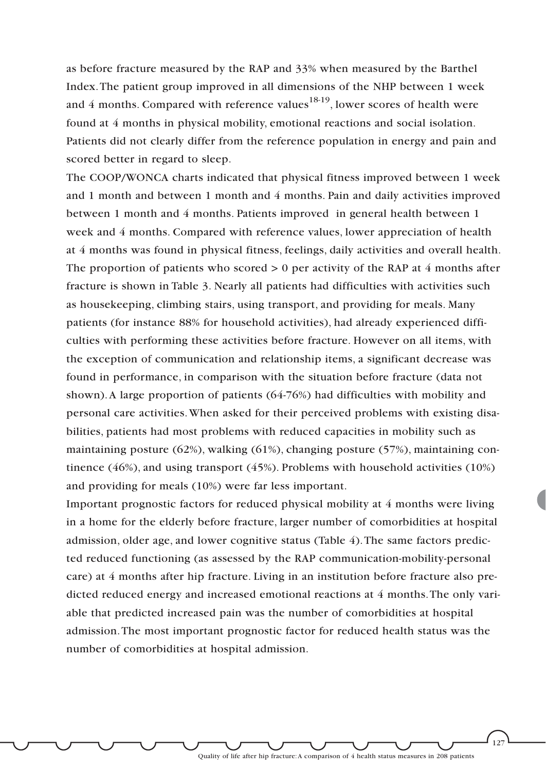as before fracture measured by the RAP and 33% when measured by the Barthel Index.The patient group improved in all dimensions of the NHP between 1 week and 4 months. Compared with reference values<sup>18-19</sup>, lower scores of health were found at 4 months in physical mobility, emotional reactions and social isolation. Patients did not clearly differ from the reference population in energy and pain and scored better in regard to sleep.

The COOP/WONCA charts indicated that physical fitness improved between 1 week and 1 month and between 1 month and 4 months. Pain and daily activities improved between 1 month and 4 months. Patients improved in general health between 1 week and 4 months. Compared with reference values, lower appreciation of health at 4 months was found in physical fitness, feelings, daily activities and overall health. The proportion of patients who scored  $> 0$  per activity of the RAP at 4 months after fracture is shown in Table 3. Nearly all patients had difficulties with activities such as housekeeping, climbing stairs, using transport, and providing for meals. Many patients (for instance 88% for household activities), had already experienced difficulties with performing these activities before fracture. However on all items, with the exception of communication and relationship items, a significant decrease was found in performance, in comparison with the situation before fracture (data not shown).A large proportion of patients (64-76%) had difficulties with mobility and personal care activities.When asked for their perceived problems with existing disabilities, patients had most problems with reduced capacities in mobility such as maintaining posture (62%), walking (61%), changing posture (57%), maintaining continence (46%), and using transport (45%). Problems with household activities (10%) and providing for meals (10%) were far less important.

Important prognostic factors for reduced physical mobility at 4 months were living in a home for the elderly before fracture, larger number of comorbidities at hospital admission, older age, and lower cognitive status (Table 4).The same factors predicted reduced functioning (as assessed by the RAP communication-mobility-personal care) at 4 months after hip fracture. Living in an institution before fracture also predicted reduced energy and increased emotional reactions at 4 months.The only variable that predicted increased pain was the number of comorbidities at hospital admission.The most important prognostic factor for reduced health status was the number of comorbidities at hospital admission.

Quality of life after hip fracture:A comparison of 4 health status measures in 208 patients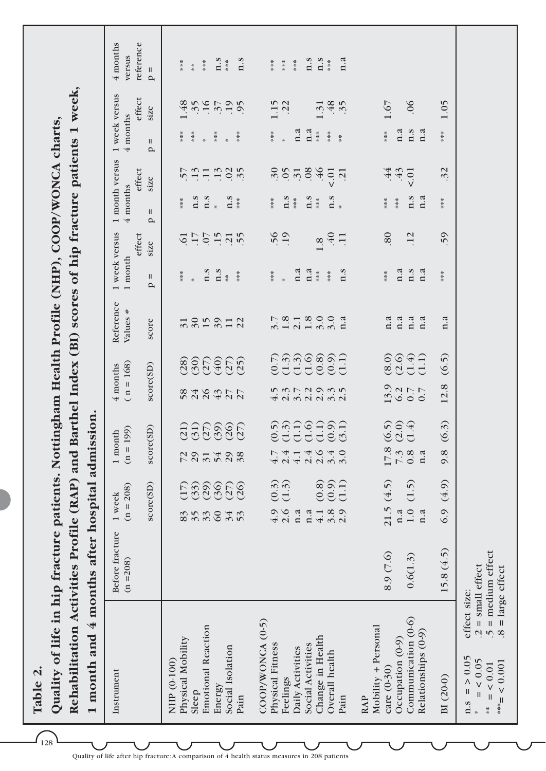**Table 2.**  Table 2.

 $\widehat{\mathcal{A}_{128}}$ 

|                                                                                              | es Profile (RAP) and Barthel Index (BI) scores of hip fracture patients 1 week, |                                              |
|----------------------------------------------------------------------------------------------|---------------------------------------------------------------------------------|----------------------------------------------|
| uality of life in hip fracture patients. Nottingham Health Profile (NHP), COOP/WONCA charts, |                                                                                 |                                              |
|                                                                                              |                                                                                 |                                              |
|                                                                                              |                                                                                 |                                              |
|                                                                                              |                                                                                 |                                              |
|                                                                                              |                                                                                 |                                              |
|                                                                                              |                                                                                 |                                              |
|                                                                                              |                                                                                 |                                              |
|                                                                                              |                                                                                 |                                              |
|                                                                                              |                                                                                 |                                              |
|                                                                                              |                                                                                 |                                              |
|                                                                                              |                                                                                 |                                              |
|                                                                                              |                                                                                 |                                              |
|                                                                                              |                                                                                 |                                              |
|                                                                                              |                                                                                 |                                              |
|                                                                                              | Rehabilitation Activiti                                                         | month and 4 months after hospital admission. |
|                                                                                              |                                                                                 |                                              |

| 1 month and 4 months after                                          |                                             | hospital admission.                             |                                                 |                                   |                              |                                                      |                       |                                            |               |                                                                                                                                                                                                                                                                                                                                                                                                             |            |                                                                      |
|---------------------------------------------------------------------|---------------------------------------------|-------------------------------------------------|-------------------------------------------------|-----------------------------------|------------------------------|------------------------------------------------------|-----------------------|--------------------------------------------|---------------|-------------------------------------------------------------------------------------------------------------------------------------------------------------------------------------------------------------------------------------------------------------------------------------------------------------------------------------------------------------------------------------------------------------|------------|----------------------------------------------------------------------|
| Instrument                                                          | Before fracture<br>$(n = 208)$              | $(n = 208)$<br>1 week                           | $(n = 199)$<br>1 month                          | $(n = 168)$<br>4 months           | Reference<br>Values #        | 1 week versus<br>$1$ month                           | effect                | 1 month versus 1 week versus<br>4 months   | effect        | $4$ months                                                                                                                                                                                                                                                                                                                                                                                                  | effect     | 4 months<br>reference<br>versus                                      |
|                                                                     |                                             | score(SD)                                       | score(SD)                                       | score(SD)                         | score                        | $\, \parallel$<br>$\mathbf{p}$                       | size                  | $\ensuremath{\mathsf{II}}$<br>$\mathbf{p}$ | size          | $\, \rm II$<br>$\mathbf{p}$                                                                                                                                                                                                                                                                                                                                                                                 | size       | $p =$                                                                |
| Physical Mobility<br>NHP (0-100)                                    |                                             |                                                 |                                                 |                                   |                              | 苦苦苦                                                  | $\overline{61}$       | $*$<br>$*$                                 |               | ***                                                                                                                                                                                                                                                                                                                                                                                                         | .48        | 苦苦苦                                                                  |
| Sleep                                                               |                                             |                                                 |                                                 |                                   |                              |                                                      |                       |                                            |               | $\begin{array}{l} * \\ * \\ * \end{array}$                                                                                                                                                                                                                                                                                                                                                                  |            | $*$                                                                  |
| <b>Emotional Reaction</b>                                           |                                             | 638666<br>699669<br>8.588888                    | 116886<br>116988<br>72914                       | 846377<br>848377                  | $-25.52$<br>866666<br>888488 | $*$ $\begin{array}{c} 0.5 \\ 0.5 \\ 0.5 \end{array}$ | $-5.5.75$             | $\begin{array}{c} 1.5 \\ 1.5 \end{array}$  | 5.9972        | $\frac{1}{N}$                                                                                                                                                                                                                                                                                                                                                                                               | $35 - 37$  | ***                                                                  |
| Energy                                                              |                                             |                                                 |                                                 |                                   |                              |                                                      |                       |                                            |               | $\begin{array}{c}\n% \begin{array}{c}\n% \begin{array}{c}\n% \begin{array}{c}\n% \end{array} & \end{array} & \end{array} & \begin{array}{c}\n% \end{array} & \end{array} \end{array} \end{array}$                                                                                                                                                                                                           |            | $\mathbf{n}$ .s                                                      |
| Social Isolation                                                    |                                             |                                                 | 298                                             |                                   |                              |                                                      |                       | $\sum_{**}$                                | 0.35          | $\ast$                                                                                                                                                                                                                                                                                                                                                                                                      | .95        |                                                                      |
| Pain                                                                |                                             |                                                 |                                                 |                                   |                              | $\frac{36}{36}$                                      |                       |                                            |               | $\begin{array}{cccc}\frac{1}{2} & \frac{1}{2} & \frac{1}{2} & \frac{1}{2} & \frac{1}{2} & \frac{1}{2} & \frac{1}{2} & \frac{1}{2} & \frac{1}{2} & \frac{1}{2} & \frac{1}{2} & \frac{1}{2} & \frac{1}{2} & \frac{1}{2} & \frac{1}{2} & \frac{1}{2} & \frac{1}{2} & \frac{1}{2} & \frac{1}{2} & \frac{1}{2} & \frac{1}{2} & \frac{1}{2} & \frac{1}{2} & \frac{1}{2} & \frac{1}{2} & \frac{1}{2} & \frac{1}{2$ |            | 0.5                                                                  |
| COOP/WONCA (0-5)                                                    |                                             |                                                 |                                                 |                                   |                              |                                                      |                       |                                            |               |                                                                                                                                                                                                                                                                                                                                                                                                             |            |                                                                      |
| Physical Fitness                                                    |                                             |                                                 |                                                 |                                   |                              | $\frac{w}{2}$                                        |                       | ***                                        |               | ***                                                                                                                                                                                                                                                                                                                                                                                                         | 1.15       | ***                                                                  |
| Feelings                                                            |                                             | (0.3)<br>$4.9$<br>2.6                           | $4.7$<br>$4.1$<br>$4.1$                         |                                   |                              | $\frac{1}{a}$                                        | 56                    | $n.*$                                      |               |                                                                                                                                                                                                                                                                                                                                                                                                             |            | $\frac{36}{36}$                                                      |
| Daily Activities                                                    |                                             | n.a                                             |                                                 |                                   |                              |                                                      |                       |                                            |               | n.a                                                                                                                                                                                                                                                                                                                                                                                                         |            | $\begin{smallmatrix} \#\\[-1.2mm] \#\\[-1.2mm] \# \end{smallmatrix}$ |
| Social Activities                                                   |                                             | n.a                                             |                                                 |                                   |                              | n.a                                                  |                       | $n_{**}$                                   |               | n.a                                                                                                                                                                                                                                                                                                                                                                                                         |            | n.s                                                                  |
| Change in Health                                                    |                                             | $4.1\,$                                         |                                                 |                                   |                              | $\frac{35}{36}$                                      |                       |                                            |               | $\frac{36}{36}$                                                                                                                                                                                                                                                                                                                                                                                             |            | $n.*$                                                                |
| Overall health                                                      |                                             | 0.60<br>0.60<br>0.50<br>$3.\overline{3}$<br>2.9 | ନ୍ନିମ୍ବମ୍ବନ<br>୧୯୯୯୯୧୧<br>$24040$<br>$24040$    | s<br>Angradura<br>Angradura       | RRRGGESH<br>Eddeed           | $\frac{m}{2}$                                        | $1.8$<br>$40$<br>$11$ | n.s                                        | 3.53345       | $\begin{smallmatrix} &\#\\&\#\\&\#\\&\# \end{smallmatrix}$                                                                                                                                                                                                                                                                                                                                                  | 1.31<br>48 |                                                                      |
| Pain                                                                |                                             |                                                 |                                                 |                                   |                              | n.s                                                  |                       |                                            |               | $\frac{35}{36}$                                                                                                                                                                                                                                                                                                                                                                                             |            | $a$ .                                                                |
| <b>RAP</b>                                                          |                                             |                                                 |                                                 |                                   |                              |                                                      |                       |                                            |               |                                                                                                                                                                                                                                                                                                                                                                                                             |            |                                                                      |
| Mobility + Personal<br>care (0-30)                                  | 8.9 (7.6)                                   | (4.5)                                           |                                                 |                                   | n.a                          | $*$<br>$*$                                           | 80                    | $*$<br>$*$                                 |               | $*$<br>$*$                                                                                                                                                                                                                                                                                                                                                                                                  | $1.67$     |                                                                      |
| Occupation (0-9)                                                    |                                             | $\frac{21.5}{n.a}$                              | $6.59$<br>$0.49$<br>$\frac{17.8}{7.3}$<br>0.8 a | $13.3$<br>$0.7$<br>$0.7$<br>$0.7$ | n.a                          | n.a                                                  |                       | $\frac{36}{36}$                            | $rac{44}{43}$ | n.a                                                                                                                                                                                                                                                                                                                                                                                                         |            |                                                                      |
| Communication (0-6)                                                 | 0.6(1.3)                                    | (1.5)<br>$1.0\,$                                |                                                 |                                   | n.a                          | n.s                                                  | $\overline{12}$       | n.s                                        |               | n.s                                                                                                                                                                                                                                                                                                                                                                                                         | .06        |                                                                      |
| Relationships (0-9)                                                 |                                             | n.a                                             |                                                 |                                   | n.a                          | n.a                                                  |                       | n.a                                        |               | n.a                                                                                                                                                                                                                                                                                                                                                                                                         |            |                                                                      |
| BI (20-0)                                                           | 15.8(4.5)                                   | (4.9)<br>6.9                                    | (6.3)<br>9.8                                    | 12.8                              | n.a<br>(6.5)                 | ***                                                  | 59                    | ***                                        | 32            | ****                                                                                                                                                                                                                                                                                                                                                                                                        | 1.05       |                                                                      |
| effect size:<br>$=$ > 0.05<br>$= < 0.05$<br>$= 60.01$<br>n.s<br>$*$ | $.5$ = medium effect<br>$.2$ = small effect |                                                 |                                                 |                                   |                              |                                                      |                       |                                            |               |                                                                                                                                                                                                                                                                                                                                                                                                             |            |                                                                      |
| $*** = 0.001$                                                       | $.8 = \text{large effect}$                  |                                                 |                                                 |                                   |                              |                                                      |                       |                                            |               |                                                                                                                                                                                                                                                                                                                                                                                                             |            |                                                                      |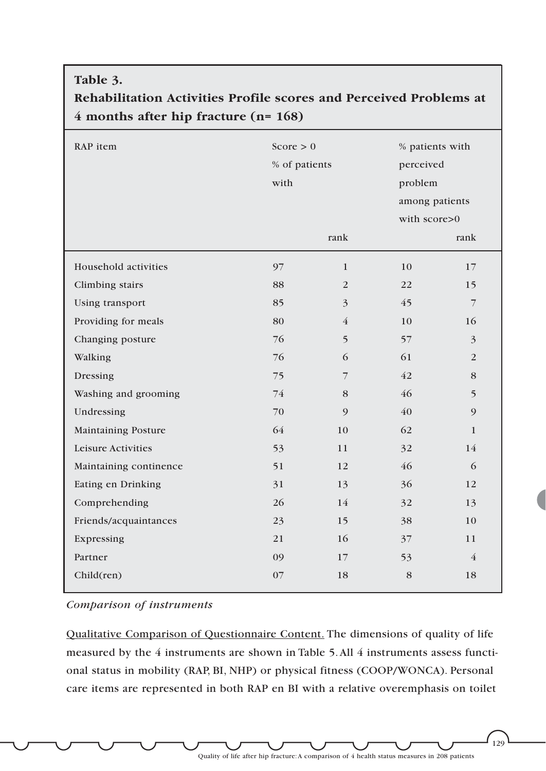| Table 3.                                                                                                    |               |                |                 |                |
|-------------------------------------------------------------------------------------------------------------|---------------|----------------|-----------------|----------------|
| Rehabilitation Activities Profile scores and Perceived Problems at<br>4 months after hip fracture $(n=168)$ |               |                |                 |                |
| RAP item                                                                                                    | Score $> 0$   |                | % patients with |                |
|                                                                                                             | % of patients |                | perceived       |                |
|                                                                                                             | with          |                | problem         |                |
|                                                                                                             |               |                | among patients  |                |
|                                                                                                             |               |                | with score>0    |                |
|                                                                                                             |               | rank           |                 | rank           |
| Household activities                                                                                        | 97            | $\mathbf{1}$   | 10              | 17             |
| Climbing stairs                                                                                             | 88            | 2              | 22              | 15             |
| Using transport                                                                                             | 85            | $\overline{3}$ | 45              | $\overline{7}$ |
| Providing for meals                                                                                         | 80            | 4              | 10              | 16             |
| Changing posture                                                                                            | 76            | 5              | 57              | 3              |
| Walking                                                                                                     | 76            | 6              | 61              | 2              |
| Dressing                                                                                                    | 75            | 7              | 42              | 8              |
| Washing and grooming                                                                                        | 74            | 8              | 46              | 5              |
| Undressing                                                                                                  | 70            | 9              | 40              | 9              |
| <b>Maintaining Posture</b>                                                                                  | 64            | 10             | 62              | $\mathbf{1}$   |
| <b>Leisure Activities</b>                                                                                   | 53            | 11             | 32              | 14             |
| Maintaining continence                                                                                      | 51            | 12             | 46              | 6              |
| Eating en Drinking                                                                                          | 31            | 13             | 36              | 12             |
| Comprehending                                                                                               | 26            | 14             | 32              | 13             |
| Friends/acquaintances                                                                                       | 23            | 15             | 38              | 10             |
| Expressing                                                                                                  | 21            | 16             | 37              | 11             |
| Partner                                                                                                     | 09            | 17             | 53              | $\overline{4}$ |
| Child(ren)                                                                                                  | 07            | 18             | 8               | 18             |

*Comparison of instruments*

Qualitative Comparison of Questionnaire Content. The dimensions of quality of life measured by the 4 instruments are shown in Table 5.All 4 instruments assess functional status in mobility (RAP, BI, NHP) or physical fitness (COOP/WONCA). Personal care items are represented in both RAP en BI with a relative overemphasis on toilet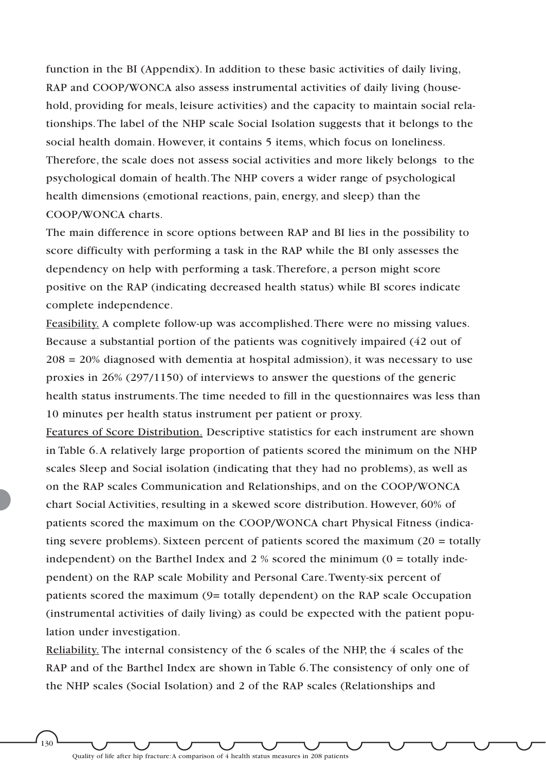function in the BI (Appendix). In addition to these basic activities of daily living, RAP and COOP/WONCA also assess instrumental activities of daily living (household, providing for meals, leisure activities) and the capacity to maintain social relationships.The label of the NHP scale Social Isolation suggests that it belongs to the social health domain. However, it contains 5 items, which focus on loneliness. Therefore, the scale does not assess social activities and more likely belongs to the psychological domain of health.The NHP covers a wider range of psychological health dimensions (emotional reactions, pain, energy, and sleep) than the COOP/WONCA charts.

The main difference in score options between RAP and BI lies in the possibility to score difficulty with performing a task in the RAP while the BI only assesses the dependency on help with performing a task.Therefore, a person might score positive on the RAP (indicating decreased health status) while BI scores indicate complete independence.

Feasibility. A complete follow-up was accomplished.There were no missing values. Because a substantial portion of the patients was cognitively impaired (42 out of  $208 = 20\%$  diagnosed with dementia at hospital admission), it was necessary to use proxies in 26% (297/1150) of interviews to answer the questions of the generic health status instruments.The time needed to fill in the questionnaires was less than 10 minutes per health status instrument per patient or proxy.

Features of Score Distribution. Descriptive statistics for each instrument are shown in Table 6.A relatively large proportion of patients scored the minimum on the NHP scales Sleep and Social isolation (indicating that they had no problems), as well as on the RAP scales Communication and Relationships, and on the COOP/WONCA chart Social Activities, resulting in a skewed score distribution. However, 60% of patients scored the maximum on the COOP/WONCA chart Physical Fitness (indicating severe problems). Sixteen percent of patients scored the maximum  $(20 = \text{totally})$ independent) on the Barthel Index and  $2\%$  scored the minimum (0 = totally independent) on the RAP scale Mobility and Personal Care.Twenty-six percent of patients scored the maximum (9= totally dependent) on the RAP scale Occupation (instrumental activities of daily living) as could be expected with the patient population under investigation.

Reliability. The internal consistency of the 6 scales of the NHP, the 4 scales of the RAP and of the Barthel Index are shown in Table 6.The consistency of only one of the NHP scales (Social Isolation) and 2 of the RAP scales (Relationships and

Quality of life after hip fracture:A comparison of 4 health status measures in 208 patients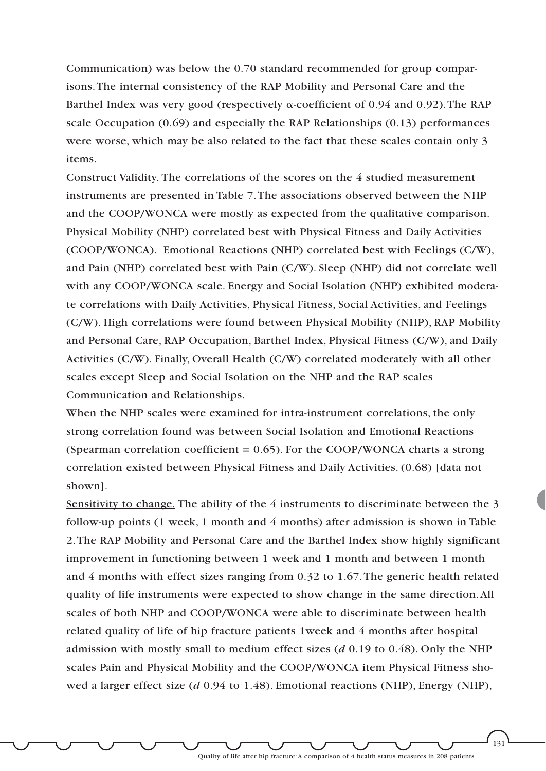Communication) was below the 0.70 standard recommended for group comparisons.The internal consistency of the RAP Mobility and Personal Care and the Barthel Index was very good (respectively  $\alpha$ -coefficient of 0.94 and 0.92). The RAP scale Occupation (0.69) and especially the RAP Relationships (0.13) performances were worse, which may be also related to the fact that these scales contain only 3 items.

Construct Validity. The correlations of the scores on the 4 studied measurement instruments are presented in Table 7.The associations observed between the NHP and the COOP/WONCA were mostly as expected from the qualitative comparison. Physical Mobility (NHP) correlated best with Physical Fitness and Daily Activities (COOP/WONCA). Emotional Reactions (NHP) correlated best with Feelings (C/W), and Pain (NHP) correlated best with Pain (C/W). Sleep (NHP) did not correlate well with any COOP/WONCA scale. Energy and Social Isolation (NHP) exhibited moderate correlations with Daily Activities, Physical Fitness, Social Activities, and Feelings (C/W). High correlations were found between Physical Mobility (NHP), RAP Mobility and Personal Care, RAP Occupation, Barthel Index, Physical Fitness (C/W), and Daily Activities (C/W). Finally, Overall Health (C/W) correlated moderately with all other scales except Sleep and Social Isolation on the NHP and the RAP scales Communication and Relationships.

When the NHP scales were examined for intra-instrument correlations, the only strong correlation found was between Social Isolation and Emotional Reactions (Spearman correlation coefficient = 0.65). For the COOP/WONCA charts a strong correlation existed between Physical Fitness and Daily Activities. (0.68) [data not shown].

Sensitivity to change. The ability of the 4 instruments to discriminate between the 3 follow-up points (1 week, 1 month and 4 months) after admission is shown in Table 2.The RAP Mobility and Personal Care and the Barthel Index show highly significant improvement in functioning between 1 week and 1 month and between 1 month and 4 months with effect sizes ranging from 0.32 to 1.67.The generic health related quality of life instruments were expected to show change in the same direction.All scales of both NHP and COOP/WONCA were able to discriminate between health related quality of life of hip fracture patients 1week and 4 months after hospital admission with mostly small to medium effect sizes (*d* 0.19 to 0.48). Only the NHP scales Pain and Physical Mobility and the COOP/WONCA item Physical Fitness showed a larger effect size (*d* 0.94 to 1.48). Emotional reactions (NHP), Energy (NHP),

Quality of life after hip fracture:A comparison of 4 health status measures in 208 patients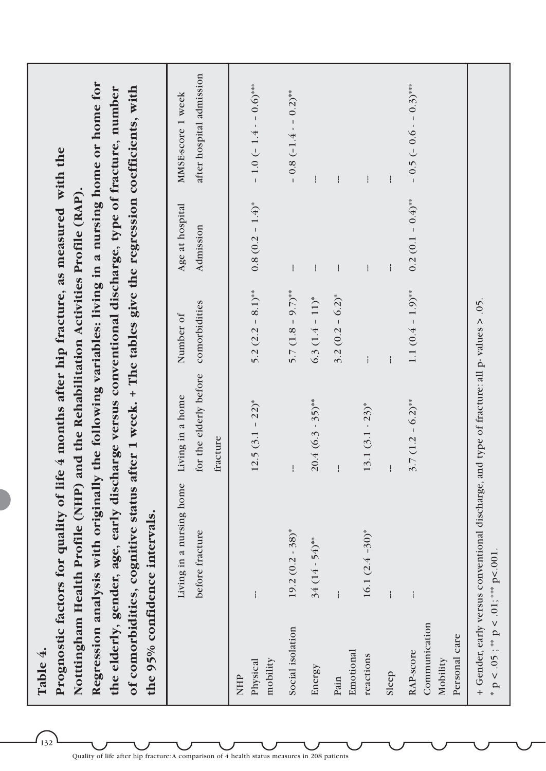| \$ |
|----|
| נב |
| ۶  |

 $132$ 

Regression analysis with originally the following variables: living in a nursing home or home for **Regression analysis with originally the following variables: living in a nursing home or home for** the elderly, gender, age, early discharge versus conventional discharge, type of fracture, number **the elderly, gender, age, early discharge versus conventional discharge, type of fracture, number** Prognostic factors for quality of life 4 months after hip fracture, as measured with the **Prognostic factors for quality of life 4 months after hip fracture, as measured with the Notttingham Health Profile (NHP) and the Rehabilitation Activities Profile (RAP).** Notttingham Health Profile (NHP) and the Rehabilitation Activities Profile (RAP)

**of comorbidities, cognitive status after 1 week. + The tables give the regression coefficients, with**

of comorbidities, cognitive status after 1 week. + The tables give the regression coefficients, with

after hospital admission before fracture for the elderly before comorbidities Admission after hospital admission  $-0.5(-0.6 - 0.3)$ \*\*\*  $-1.0(-1.4 - 0.6)$ \*\*\* Physical  $\text{Physical}$  -1.4)\*  $-1.4$  -1.4)\*  $\text{S.3 } (3.1 - 2.2)$ \*  $\text{S.2 } (3.2 - 8.1)$ \*\*  $-1.4$  -1.4)\*  $-1.4$  -1.4)\* RAP-score -- 0.6 – 0.4 – 0.1 (0.4 – 0.2)\*\* 1.1 (0.4 – 0.2)\*\* 1.1 (0.4 – 0.5 (– 0.6 – 0.6 – 0.6 – 0.6 – 0.6 – 0.5 (– 0.6 – 0.5 – 0.7)\*\*\*  $-0.8(-1.4 - 0.2)$ \*\* MMSE-score 1 week Social isolation 19.2 (0.2 - 38)\* --- 5.7 (1.8 – 9.7)\*\* --- – 0.8 (–1.4 - – 0.2)\*\* Living in a nursing home Living in a home Number of Age at hospital MMSE-score 1 week Energy  $\frac{34}{(14 \cdot 54)^{**}}$  20.4 (6.3 - 35)\*\* 6.3 (1.4 – 11)\* --Pain --- --- 3.2 (0.2 – 6.2)\* --- -- reactions 16.1 (2.4 –30)\* 13.1 (3.1 - 23)\* --- --- --- Sleep --- --- --- --- ---  $0.2(0.1-0.4)$ \*\*  $0.8(0.2 - 1.4)^*$ Age at hospital Admission  $\mathbf{I}$  $\mathbf{i}$  $\mathbf{I}$ Ï  $\mathbf{I}$ 1.1  $(0.4 - 1.9)$ \*\*  $5.2 (2.2 - 8.1)$ \*\* 5.7  $(1.8 - 9.7)$ \*\*  $3.2(0.2 - 6.2)^*$  $6.3 (1.4 - 11)^*$ for the elderly before comorbidities Number of  $\mathbf{i}$ Living in a nursing home Living in a home  $3.7(1.2 - 6.2)$ \*\*  $20.4(6.3-35)$ \*\*  $12.5(3.1 - 22)^{*}$  $13.1 (3.1 - 23)^*$ fracture the 95% confidence intervals. **the 95% confidence intervals.**  $19.2 (0.2 - 38)^*$  $16.1 (2.4 - 30)^*$ before fracture  $34(14-54)$ \*\* ł  $\overline{1}$ ļ Communication Communication Social isolation Personal care Personal care Emotional Emotional RAP-score reactions Mobility Physical mobility Energy Sleep Pain NHP

+ Gender, early versus conventional discharge, and type of fracture: all p- values > .05.

+ Gender, early versus conventional discharge, and type of fracture: all p-values > .05.

 $p < .05$ ;  $*$   $p < .01$ ;  $*$   $p < .001$ .

 $p < .05$ ; \*\*  $p < .01$ ; \*\*\*  $p < .001$ .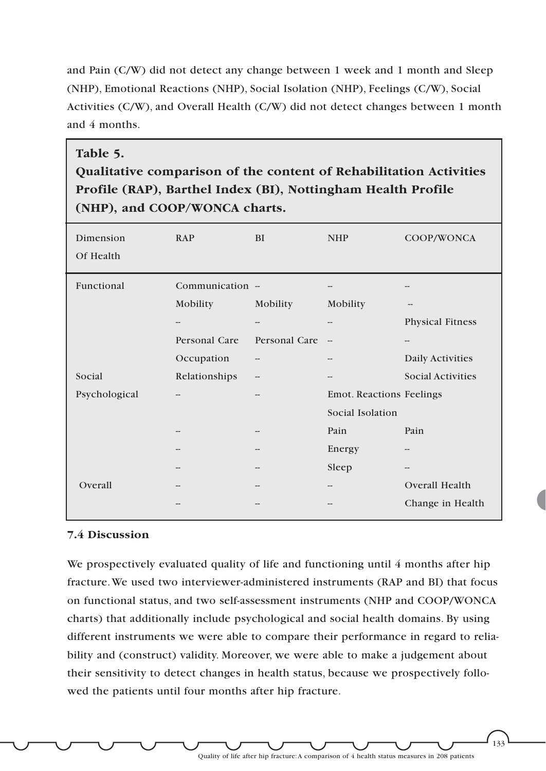and Pain (C/W) did not detect any change between 1 week and 1 month and Sleep (NHP), Emotional Reactions (NHP), Social Isolation (NHP), Feelings (C/W), Social Activities (C/W), and Overall Health (C/W) did not detect changes between 1 month and 4 months.

### **Table 5.**

**Qualitative comparison of the content of Rehabilitation Activities Profile (RAP), Barthel Index (BI), Nottingham Health Profile (NHP), and COOP/WONCA charts.**

| Dimension<br>Of Health | <b>RAP</b>       | <b>BI</b>     | <b>NHP</b>                      | COOP/WONCA               |
|------------------------|------------------|---------------|---------------------------------|--------------------------|
| Functional             | Communication -- |               |                                 |                          |
|                        | Mobility         | Mobility      | Mobility                        |                          |
|                        | --               | --            | $\qquad \qquad -$               | <b>Physical Fitness</b>  |
|                        | Personal Care    | Personal Care | $\overline{\phantom{a}}$        | --                       |
|                        | Occupation       |               | --                              | Daily Activities         |
| Social                 | Relationships    | --            | --                              | <b>Social Activities</b> |
| Psychological          |                  |               | <b>Emot. Reactions Feelings</b> |                          |
|                        |                  |               | Social Isolation                |                          |
|                        | --               |               | Pain                            | Pain                     |
|                        |                  |               | Energy                          | --                       |
|                        |                  |               | Sleep                           | --                       |
| Overall                |                  |               | --                              | <b>Overall Health</b>    |
|                        |                  |               |                                 | Change in Health         |

### **7.4 Discussion**

We prospectively evaluated quality of life and functioning until 4 months after hip fracture.We used two interviewer-administered instruments (RAP and BI) that focus on functional status, and two self-assessment instruments (NHP and COOP/WONCA charts) that additionally include psychological and social health domains. By using different instruments we were able to compare their performance in regard to reliability and (construct) validity. Moreover, we were able to make a judgement about their sensitivity to detect changes in health status, because we prospectively followed the patients until four months after hip fracture.

Quality of life after hip fracture:A comparison of 4 health status measures in 208 patients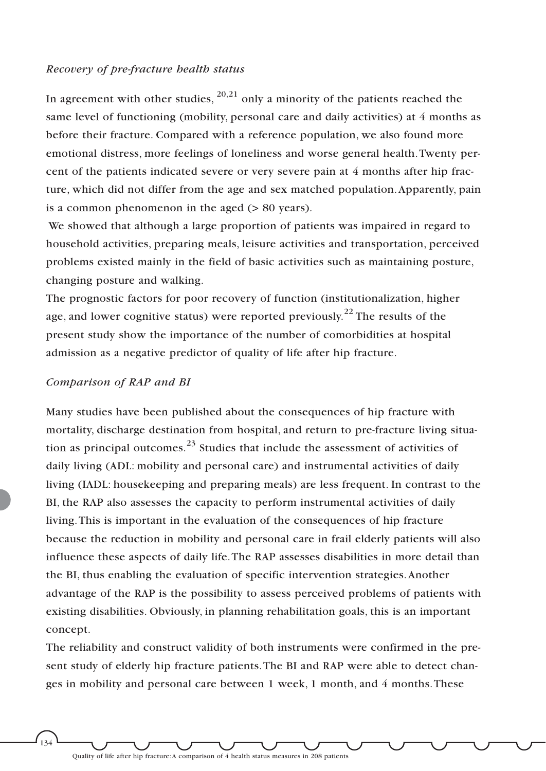#### *Recovery of pre-fracture health status*

In agreement with other studies,  $20,21$  only a minority of the patients reached the same level of functioning (mobility, personal care and daily activities) at 4 months as before their fracture. Compared with a reference population, we also found more emotional distress, more feelings of loneliness and worse general health.Twenty percent of the patients indicated severe or very severe pain at 4 months after hip fracture, which did not differ from the age and sex matched population.Apparently, pain is a common phenomenon in the aged (> 80 years).

We showed that although a large proportion of patients was impaired in regard to household activities, preparing meals, leisure activities and transportation, perceived problems existed mainly in the field of basic activities such as maintaining posture, changing posture and walking.

The prognostic factors for poor recovery of function (institutionalization, higher age, and lower cognitive status) were reported previously.<sup>22</sup> The results of the present study show the importance of the number of comorbidities at hospital admission as a negative predictor of quality of life after hip fracture.

#### *Comparison of RAP and BI*

Many studies have been published about the consequences of hip fracture with mortality, discharge destination from hospital, and return to pre-fracture living situation as principal outcomes.<sup>23</sup> Studies that include the assessment of activities of daily living (ADL: mobility and personal care) and instrumental activities of daily living (IADL: housekeeping and preparing meals) are less frequent. In contrast to the BI, the RAP also assesses the capacity to perform instrumental activities of daily living.This is important in the evaluation of the consequences of hip fracture because the reduction in mobility and personal care in frail elderly patients will also influence these aspects of daily life.The RAP assesses disabilities in more detail than the BI, thus enabling the evaluation of specific intervention strategies.Another advantage of the RAP is the possibility to assess perceived problems of patients with existing disabilities. Obviously, in planning rehabilitation goals, this is an important concept.

The reliability and construct validity of both instruments were confirmed in the present study of elderly hip fracture patients.The BI and RAP were able to detect changes in mobility and personal care between 1 week, 1 month, and 4 months.These

 $134$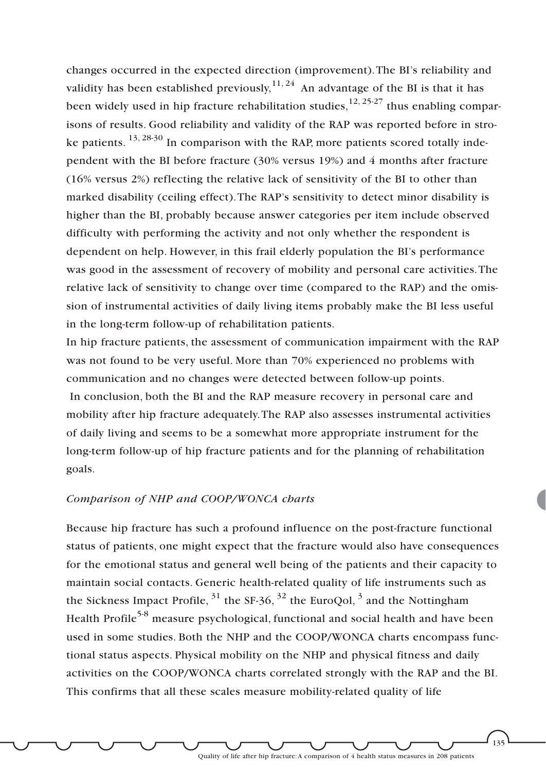changes occurred in the expected direction (improvement).The BI's reliability and validity has been established previously,  $11, 24$  An advantage of the BI is that it has been widely used in hip fracture rehabilitation studies,  $12, 25-27$  thus enabling comparisons of results. Good reliability and validity of the RAP was reported before in stroke patients.  $^{13, 28\cdot30}$  In comparison with the RAP, more patients scored totally independent with the BI before fracture (30% versus 19%) and 4 months after fracture (16% versus 2%) reflecting the relative lack of sensitivity of the BI to other than marked disability (ceiling effect).The RAP's sensitivity to detect minor disability is higher than the BI, probably because answer categories per item include observed difficulty with performing the activity and not only whether the respondent is dependent on help. However, in this frail elderly population the BI's performance was good in the assessment of recovery of mobility and personal care activities.The relative lack of sensitivity to change over time (compared to the RAP) and the omission of instrumental activities of daily living items probably make the BI less useful in the long-term follow-up of rehabilitation patients.

In hip fracture patients, the assessment of communication impairment with the RAP was not found to be very useful. More than 70% experienced no problems with communication and no changes were detected between follow-up points. In conclusion, both the BI and the RAP measure recovery in personal care and mobility after hip fracture adequately.The RAP also assesses instrumental activities of daily living and seems to be a somewhat more appropriate instrument for the long-term follow-up of hip fracture patients and for the planning of rehabilitation goals.

#### *Comparison of NHP and COOP/WONCA charts*

Because hip fracture has such a profound influence on the post-fracture functional status of patients, one might expect that the fracture would also have consequences for the emotional status and general well being of the patients and their capacity to maintain social contacts. Generic health-related quality of life instruments such as the Sickness Impact Profile,  $31$  the SF-36,  $32$  the EuroQol,  $3$  and the Nottingham Health Profile<sup>5-8</sup> measure psychological, functional and social health and have been used in some studies. Both the NHP and the COOP/WONCA charts encompass functional status aspects. Physical mobility on the NHP and physical fitness and daily activities on the COOP/WONCA charts correlated strongly with the RAP and the BI. This confirms that all these scales measure mobility-related quality of life

Quality of life after hip fracture:A comparison of 4 health status measures in 208 patients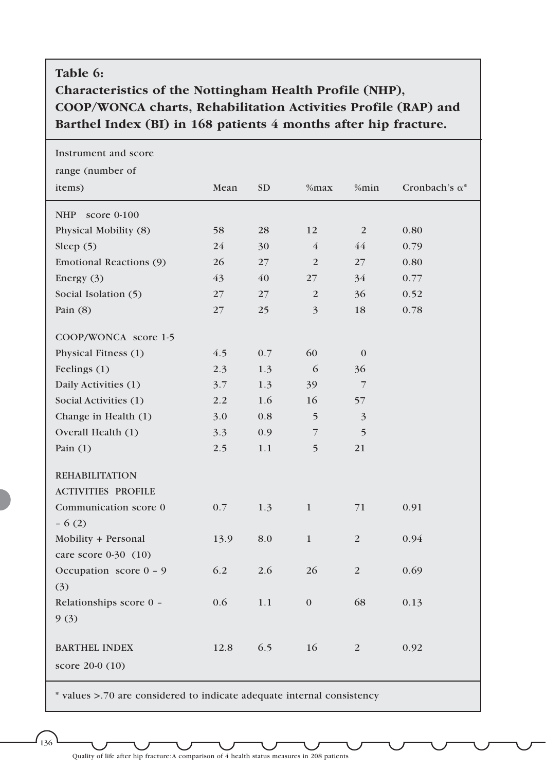# **Table 6:**

# **Characteristics of the Nottingham Health Profile (NHP), COOP/WONCA charts, Rehabilitation Activities Profile (RAP) and Barthel Index (BI) in 168 patients 4 months after hip fracture.**

| Instrument and score        |      |           |                         |                         |                       |
|-----------------------------|------|-----------|-------------------------|-------------------------|-----------------------|
| range (number of            |      |           |                         |                         |                       |
| items)                      | Mean | <b>SD</b> | %max                    | %min                    | Cronbach's $\alpha^*$ |
| <b>NHP</b><br>score $0-100$ |      |           |                         |                         |                       |
| Physical Mobility (8)       | 58   | 28        | 12                      | $\overline{2}$          | 0.80                  |
| Sleep $(5)$                 | 24   | 30        | $\overline{4}$          | 44                      | 0.79                  |
| Emotional Reactions (9)     | 26   | 27        | 2                       | 27                      | 0.80                  |
| Energy $(3)$                | 43   | 40        | 27                      | 34                      | 0.77                  |
| Social Isolation (5)        | 27   | 27        | $\overline{2}$          | 36                      | 0.52                  |
| Pain $(8)$                  | 27   | 25        | $\overline{\mathbf{3}}$ | 18                      | 0.78                  |
| COOP/WONCA score 1-5        |      |           |                         |                         |                       |
| Physical Fitness (1)        | 4.5  | 0.7       | 60                      | $\mathbf{0}$            |                       |
| Feelings (1)                | 2.3  | 1.3       | 6                       | 36                      |                       |
| Daily Activities (1)        | 3.7  | 1.3       | 39                      | $\overline{7}$          |                       |
| Social Activities (1)       | 2.2  | 1.6       | 16                      | 57                      |                       |
| Change in Health (1)        | 3.0  | 0.8       | 5                       | $\overline{\mathbf{3}}$ |                       |
| Overall Health (1)          | 3.3  | 0.9       | 7                       | 5                       |                       |
| Pain $(1)$                  | 2.5  | 1.1       | 5                       | 21                      |                       |
| <b>REHABILITATION</b>       |      |           |                         |                         |                       |
| <b>ACTIVITIES PROFILE</b>   |      |           |                         |                         |                       |
| Communication score 0       | 0.7  | 1.3       | $\mathbf{1}$            | 71                      | 0.91                  |
| $-6(2)$                     |      |           |                         |                         |                       |
| Mobility + Personal         | 13.9 | 8.0       | $\mathbf{1}$            | 2                       | 0.94                  |
| care score 0-30 (10)        |      |           |                         |                         |                       |
| Occupation score 0 - 9      | 6.2  | 2.6       | 26                      | $\overline{2}$          | 0.69                  |
| (3)                         |      |           |                         |                         |                       |
| Relationships score 0 -     | 0.6  | 1.1       | $\mathbf{0}$            | 68                      | 0.13                  |
| 9(3)                        |      |           |                         |                         |                       |
| <b>BARTHEL INDEX</b>        | 12.8 | 6.5       | 16                      | $\overline{2}$          | 0.92                  |
| score 20-0 (10)             |      |           |                         |                         |                       |
|                             |      |           |                         |                         |                       |

values >.70 are considered to indicate adequate internal consistency

 $1_{36}$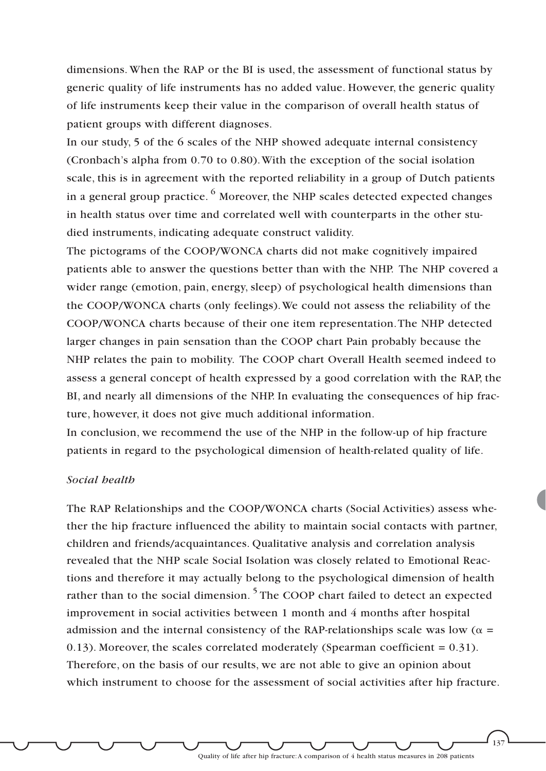dimensions. When the RAP or the BI is used, the assessment of functional status by generic quality of life instruments has no added value. However, the generic quality of life instruments keep their value in the comparison of overall health status of patient groups with different diagnoses.

In our study, 5 of the 6 scales of the NHP showed adequate internal consistency (Cronbach's alpha from 0.70 to 0.80).With the exception of the social isolation scale, this is in agreement with the reported reliability in a group of Dutch patients in a general group practice.  $\frac{6}{9}$  Moreover, the NHP scales detected expected changes in health status over time and correlated well with counterparts in the other studied instruments, indicating adequate construct validity.

The pictograms of the COOP/WONCA charts did not make cognitively impaired patients able to answer the questions better than with the NHP. The NHP covered a wider range (emotion, pain, energy, sleep) of psychological health dimensions than the COOP/WONCA charts (only feelings).We could not assess the reliability of the COOP/WONCA charts because of their one item representation.The NHP detected larger changes in pain sensation than the COOP chart Pain probably because the NHP relates the pain to mobility. The COOP chart Overall Health seemed indeed to assess a general concept of health expressed by a good correlation with the RAP, the BI, and nearly all dimensions of the NHP. In evaluating the consequences of hip fracture, however, it does not give much additional information.

In conclusion, we recommend the use of the NHP in the follow-up of hip fracture patients in regard to the psychological dimension of health-related quality of life.

### *Social health*

The RAP Relationships and the COOP/WONCA charts (Social Activities) assess whether the hip fracture influenced the ability to maintain social contacts with partner, children and friends/acquaintances. Qualitative analysis and correlation analysis revealed that the NHP scale Social Isolation was closely related to Emotional Reactions and therefore it may actually belong to the psychological dimension of health rather than to the social dimension.<sup>5</sup> The COOP chart failed to detect an expected improvement in social activities between 1 month and 4 months after hospital admission and the internal consistency of the RAP-relationships scale was low ( $\alpha$  = 0.13). Moreover, the scales correlated moderately (Spearman coefficient  $= 0.31$ ). Therefore, on the basis of our results, we are not able to give an opinion about which instrument to choose for the assessment of social activities after hip fracture.

Quality of life after hip fracture:A comparison of 4 health status measures in 208 patients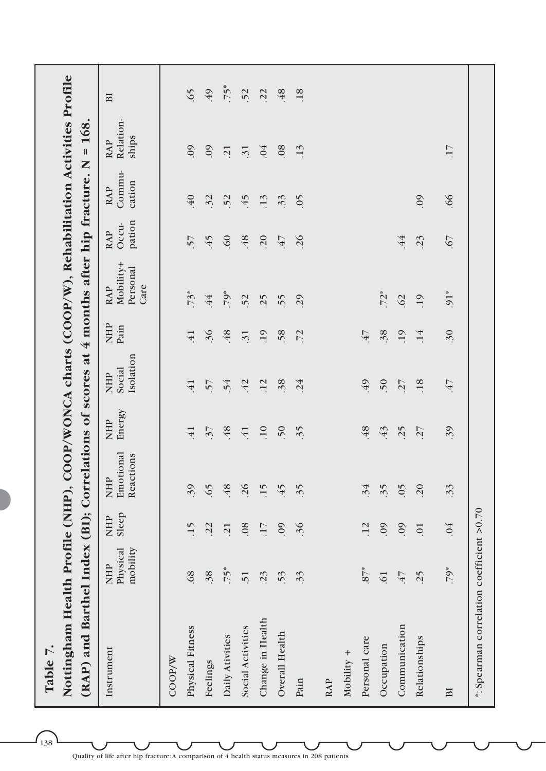| Nottingham Health Profile (NHP), COOP/WONCA charts (COOP/W), Rehabilitation Activities Profile<br>(RAP) and Barthel Index (BI); Correlations of scores at 4 months after hip fracture.<br>Table 7. |                                    |                     |                                      |                      |                                   |                    |                                             |                               |                                | 168.<br>$\mathbf{I}$<br>Z        |             |
|----------------------------------------------------------------------------------------------------------------------------------------------------------------------------------------------------|------------------------------------|---------------------|--------------------------------------|----------------------|-----------------------------------|--------------------|---------------------------------------------|-------------------------------|--------------------------------|----------------------------------|-------------|
| Instrument                                                                                                                                                                                         | Physical<br>mobility<br><b>NHP</b> | Sleep<br><b>NHP</b> | Emotional<br>Reactions<br><b>NHP</b> | Energy<br><b>NHP</b> | Isolation<br>Social<br><b>NHP</b> | <b>NHP</b><br>Pain | Mobility+<br>Personal<br>Care<br><b>RAP</b> | pation<br>Occu-<br><b>RAP</b> | Commu-<br>cation<br><b>RAP</b> | Relation-<br>ships<br><b>RAP</b> | $_{\rm BI}$ |
| COOP/W                                                                                                                                                                                             |                                    |                     |                                      |                      |                                   |                    |                                             |                               |                                |                                  |             |
| Physical Fitness                                                                                                                                                                                   | .68                                | 15                  | 39                                   | $\overline{41}$      | $\overline{41}$                   | $\overline{41}$    | $.73*$                                      | 57                            | $\overline{40}$                | 0 <sup>0</sup>                   | 65          |
| Feelings                                                                                                                                                                                           | 38                                 | .22                 | 65                                   | $\overline{37}$      | 57                                | 36                 | 44                                          | 45                            | 32                             | .09                              | 49          |
| Daily Ativities                                                                                                                                                                                    | 55                                 | $\overline{21}$     | 48                                   | 48                   | 54                                | 48                 | $.79*$                                      | .60                           | 52                             | $\overline{21}$                  | $55*$       |
| Social Activities                                                                                                                                                                                  | $\overline{51}$                    | .08                 | 26                                   | $\overline{41}$      | $-42$                             | $\overline{31}$    | 52                                          | 48                            | 45                             | $\ddot{3}$                       | 52          |
| Change in Health                                                                                                                                                                                   | $\ddot{c}$                         | $\overline{17}$     | 15                                   | $\overline{10}$      | .12                               | .19                | 25                                          | 20                            | .13                            | .04                              | .22         |
| Overall Health                                                                                                                                                                                     | $\ddot{5}$                         | 60                  | $-45$                                | 50                   | 38                                | 58                 | 55                                          | 47                            | 33                             | 08                               | 48          |
| Pain                                                                                                                                                                                               | 33                                 | .36                 | 35                                   | 35                   | .24                               | .72                | .29                                         | .26                           | $-05$                          | .13                              | .18         |
| <b>RAP</b>                                                                                                                                                                                         |                                    |                     |                                      |                      |                                   |                    |                                             |                               |                                |                                  |             |
| Mobility +                                                                                                                                                                                         |                                    |                     |                                      |                      |                                   |                    |                                             |                               |                                |                                  |             |
| Personal care                                                                                                                                                                                      | $.87*$                             | .12                 | 34                                   | 48                   | 49                                | 47                 |                                             |                               |                                |                                  |             |
| Occupation                                                                                                                                                                                         | $\overline{.}$                     | .09                 | 35                                   | $-43$                | 50                                | 38                 | $.72*$                                      |                               |                                |                                  |             |
| Communication                                                                                                                                                                                      | 47                                 | .09                 | $\overline{0}$                       | 25                   | .27                               | .19                | 62                                          | .44                           |                                |                                  |             |
| Relationships                                                                                                                                                                                      | $\ddot{5}$                         | $\overline{0}$      | 20                                   | .27                  | <b>18</b>                         | .14                | .19                                         | .23                           | 60                             |                                  |             |
| BI                                                                                                                                                                                                 | $.79*$                             | .04                 | 33                                   | 39                   | 47                                | $\ddot{30}$        | $.91*$                                      | 59.                           | 99.                            | 17                               |             |
| *: Spearman correlation coefficient >0.70                                                                                                                                                          |                                    |                     |                                      |                      |                                   |                    |                                             |                               |                                |                                  |             |

Quality of life after hip fracture:A comparison of 4 health status measures in 208 patients

 $\int_{138}$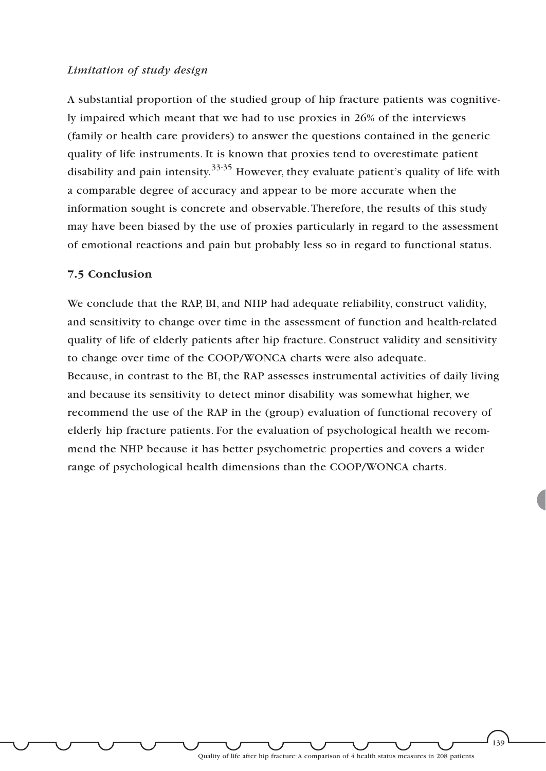#### *Limitation of study design*

A substantial proportion of the studied group of hip fracture patients was cognitively impaired which meant that we had to use proxies in 26% of the interviews (family or health care providers) to answer the questions contained in the generic quality of life instruments. It is known that proxies tend to overestimate patient disability and pain intensity.<sup>33-35</sup> However, they evaluate patient's quality of life with a comparable degree of accuracy and appear to be more accurate when the information sought is concrete and observable.Therefore, the results of this study may have been biased by the use of proxies particularly in regard to the assessment of emotional reactions and pain but probably less so in regard to functional status.

### **7.5 Conclusion**

We conclude that the RAP, BI, and NHP had adequate reliability, construct validity, and sensitivity to change over time in the assessment of function and health-related quality of life of elderly patients after hip fracture. Construct validity and sensitivity to change over time of the COOP/WONCA charts were also adequate. Because, in contrast to the BI, the RAP assesses instrumental activities of daily living and because its sensitivity to detect minor disability was somewhat higher, we recommend the use of the RAP in the (group) evaluation of functional recovery of elderly hip fracture patients. For the evaluation of psychological health we recommend the NHP because it has better psychometric properties and covers a wider range of psychological health dimensions than the COOP/WONCA charts.

Quality of life after hip fracture:A comparison of 4 health status measures in 208 patients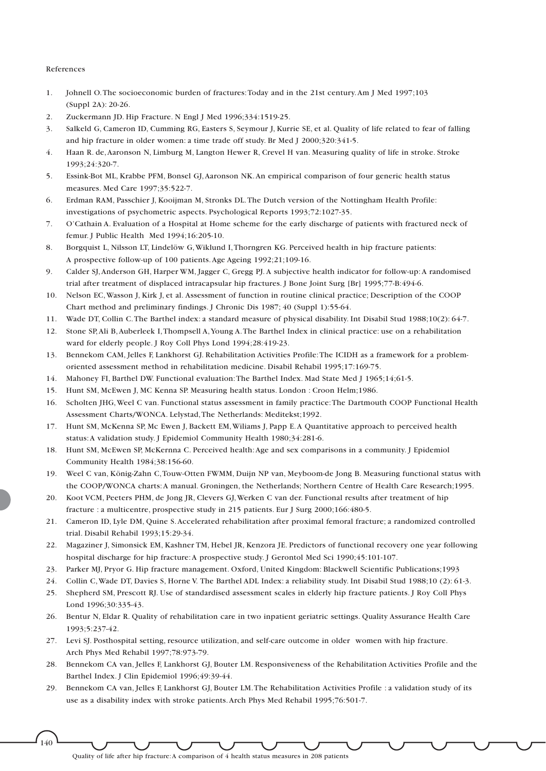#### References

- 1. Johnell O.The socioeconomic burden of fractures:Today and in the 21st century.Am J Med 1997;103 (Suppl 2A): 20-26.
- 2. Zuckermann JD. Hip Fracture. N Engl J Med 1996;334:1519-25.
- 3. Salkeld G, Cameron ID, Cumming RG, Easters S, Seymour J, Kurrie SE, et al. Quality of life related to fear of falling and hip fracture in older women: a time trade off study. Br Med J 2000;320:341-5.
- 4. Haan R. de,Aaronson N, Limburg M, Langton Hewer R, Crevel H van. Measuring quality of life in stroke. Stroke 1993;24:320-7.
- 5. Essink-Bot ML, Krabbe PFM, Bonsel GJ,Aaronson NK.An empirical comparison of four generic health status measures. Med Care 1997;35:522-7.
- 6. Erdman RAM, Passchier J, Kooijman M, Stronks DL.The Dutch version of the Nottingham Health Profile: investigations of psychometric aspects. Psychological Reports 1993;72:1027-35.
- 7. O'Cathain A. Evaluation of a Hospital at Home scheme for the early discharge of patients with fractured neck of femur. J Public Health Med 1994;16:205-10.
- 8. Borgquist L, Nilsson LT, Lindelöw G,Wiklund I,Thorngren KG. Perceived health in hip fracture patients: A prospective follow-up of 100 patients.Age Ageing 1992;21;109-16.
- 9. Calder SJ,Anderson GH, Harper WM, Jagger C, Gregg PJ. A subjective health indicator for follow-up:A randomised trial after treatment of displaced intracapsular hip fractures. J Bone Joint Surg [Br] 1995;77-B:494-6.
- 10. Nelson EC,Wasson J, Kirk J, et al. Assessment of function in routine clinical practice; Description of the COOP Chart method and preliminary findings. J Chronic Dis 1987; 40 (Suppl 1):55-64.
- 11. Wade DT, Collin C.The Barthel index: a standard measure of physical disability. Int Disabil Stud 1988;10(2): 64-7.
- 12. Stone SP,Ali B,Auberleek I,Thompsell A,Young A.The Barthel Index in clinical practice: use on a rehabilitation ward for elderly people. J Roy Coll Phys Lond 1994;28:419-23.
- 13. Bennekom CAM, Jelles F, Lankhorst GJ. Rehabilitation Activities Profile:The ICIDH as a framework for a problemoriented assessment method in rehabilitation medicine. Disabil Rehabil 1995;17:169-75.
- 14. Mahoney FI, Barthel DW. Functional evaluation:The Barthel Index. Mad State Med J 1965;14;61-5.
- 15. Hunt SM, McEwen J, MC Kenna SP. Measuring health status. London : Croon Helm;1986.
- 16. Scholten JHG,Weel C van. Functional status assessment in family practice:The Dartmouth COOP Functional Health Assessment Charts/WONCA. Lelystad,The Netherlands: Meditekst;1992.
- 17. Hunt SM, McKenna SP, Mc Ewen J, Backett EM,Wiliams J, Papp E.A Quantitative approach to perceived health status:A validation study. J Epidemiol Community Health 1980;34:281-6.
- 18. Hunt SM, McEwen SP, McKernna C. Perceived health:Age and sex comparisons in a community. J Epidemiol Community Health 1984;38:156-60.
- 19. Weel C van, König-Zahn C,Touw-Otten FWMM, Duijn NP van, Meyboom-de Jong B. Measuring functional status with the COOP/WONCA charts:A manual. Groningen, the Netherlands; Northern Centre of Health Care Research;1995.
- 20. Koot VCM, Peeters PHM, de Jong JR, Clevers GJ,Werken C van der. Functional results after treatment of hip fracture : a multicentre, prospective study in 215 patients. Eur J Surg 2000;166:480-5.
- 21. Cameron ID, Lyle DM, Quine S.Accelerated rehabilitation after proximal femoral fracture; a randomized controlled trial. Disabil Rehabil 1993;15:29-34.
- 22. Magaziner J, Simonsick EM, Kashner TM, Hebel JR, Kenzora JE. Predictors of functional recovery one year following hospital discharge for hip fracture:A prospective study. J Gerontol Med Sci 1990;45:101-107.
- 23. Parker MJ, Pryor G. Hip fracture management. Oxford, United Kingdom: Blackwell Scientific Publications;1993
- 24. Collin C,Wade DT, Davies S, Horne V. The Barthel ADL Index: a reliability study. Int Disabil Stud 1988;10 (2): 61-3.
- 25. Shepherd SM, Prescott RJ. Use of standardised assessment scales in elderly hip fracture patients. J Roy Coll Phys Lond 1996;30:335-43.
- 26. Bentur N, Eldar R. Quality of rehabilitation care in two inpatient geriatric settings. Quality Assurance Health Care 1993;5:237-42.
- 27. Levi SJ. Posthospital setting, resource utilization, and self-care outcome in older women with hip fracture. Arch Phys Med Rehabil 1997;78:973-79.
- 28. Bennekom CA van, Jelles F, Lankhorst GJ, Bouter LM. Responsiveness of the Rehabilitation Activities Profile and the Barthel Index. J Clin Epidemiol 1996;49:39-44.
- 29. Bennekom CA van, Jelles F, Lankhorst GJ, Bouter LM.The Rehabilitation Activities Profile : a validation study of its use as a disability index with stroke patients.Arch Phys Med Rehabil 1995;76:501-7.

140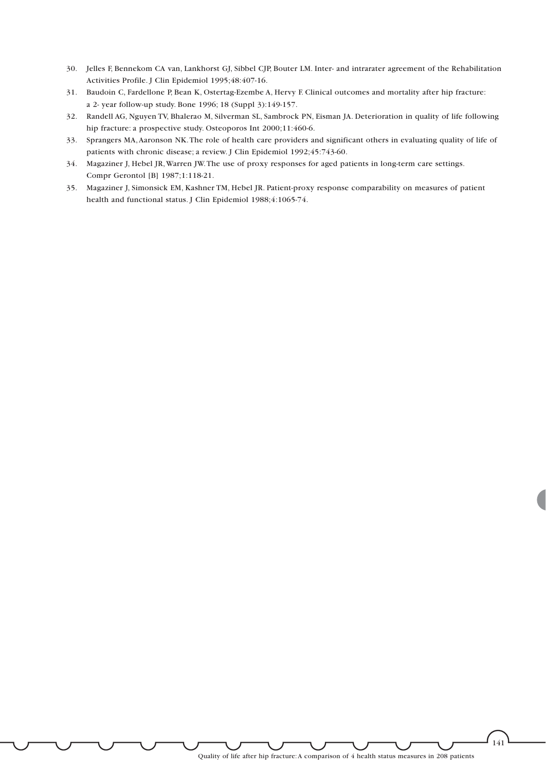- 30. Jelles F, Bennekom CA van, Lankhorst GJ, Sibbel CJP, Bouter LM. Inter- and intrarater agreement of the Rehabilitation Activities Profile. J Clin Epidemiol 1995;48:407-16.
- 31. Baudoin C, Fardellone P, Bean K, Ostertag-Ezembe A, Hervy F. Clinical outcomes and mortality after hip fracture: a 2- year follow-up study. Bone 1996; 18 (Suppl 3):149-157.
- 32. Randell AG, Nguyen TV, Bhalerao M, Silverman SL, Sambrock PN, Eisman JA. Deterioration in quality of life following hip fracture: a prospective study. Osteoporos Int 2000;11:460-6.
- 33. Sprangers MA,Aaronson NK.The role of health care providers and significant others in evaluating quality of life of patients with chronic disease; a review. J Clin Epidemiol 1992;45:743-60.
- 34. Magaziner J, Hebel JR,Warren JW.The use of proxy responses for aged patients in long-term care settings. Compr Gerontol [B] 1987;1:118-21.
- 35. Magaziner J, Simonsick EM, Kashner TM, Hebel JR. Patient-proxy response comparability on measures of patient health and functional status. J Clin Epidemiol 1988;4:1065-74.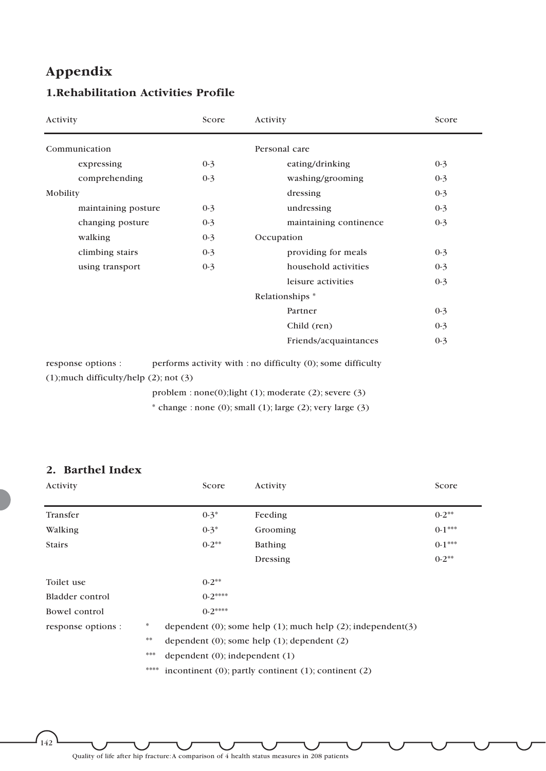# **Appendix**

# **1.Rehabilitation Activities Profile**

| Activity                                                             | Score   | Activity                                                    | Score   |
|----------------------------------------------------------------------|---------|-------------------------------------------------------------|---------|
| Communication                                                        |         | Personal care                                               |         |
| expressing                                                           | $0-3$   | eating/drinking                                             | $0-3$   |
| comprehending                                                        | $0-3$   | washing/grooming                                            | $0-3$   |
| Mobility                                                             |         | dressing                                                    | $0-3$   |
| maintaining posture                                                  | $0 - 3$ | undressing                                                  | $0-3$   |
| changing posture                                                     | $0 - 3$ | maintaining continence                                      | $0-3$   |
| walking                                                              | $0 - 3$ | Occupation                                                  |         |
| climbing stairs                                                      | $0 - 3$ | providing for meals                                         | $0 - 3$ |
| using transport                                                      | $0 - 3$ | household activities                                        | $0-3$   |
|                                                                      |         | leisure activities                                          | $0-3$   |
|                                                                      |         | Relationships *                                             |         |
|                                                                      |         | Partner                                                     | $0-3$   |
|                                                                      |         | Child (ren)                                                 | $0-3$   |
|                                                                      |         | Friends/acquaintances                                       | $0-3$   |
| response options :<br>$(1)$ ; much difficulty/help $(2)$ ; not $(3)$ |         | performs activity with : no difficulty (0); some difficulty |         |
|                                                                      |         | problem : $none(0)$ ; light (1); moderate (2); severe (3)   |         |

\* change : none (0); small (1); large (2); very large (3)

### **2. Barthel Index**

 $\int_{142}$ 

| Activity           |      | Score                               | Activity                                                                | Score    |
|--------------------|------|-------------------------------------|-------------------------------------------------------------------------|----------|
| Transfer           |      | $0-3*$                              | Feeding                                                                 | $0-2$ ** |
| Walking            |      | $0-3*$                              | Grooming                                                                | $0-1***$ |
| <b>Stairs</b>      |      | $0-2$ **                            | Bathing                                                                 | $0-1***$ |
|                    |      |                                     | Dressing                                                                | $0-2$ ** |
| Toilet use         |      | $0-2$ **                            |                                                                         |          |
| Bladder control    |      | $0-2***$                            |                                                                         |          |
| Bowel control      |      | $0-2***$                            |                                                                         |          |
| response options : | *    |                                     | dependent $(0)$ ; some help $(1)$ ; much help $(2)$ ; independent $(3)$ |          |
|                    | 幸幸   |                                     | dependent $(0)$ ; some help $(1)$ ; dependent $(2)$                     |          |
|                    | ***  | dependent $(0)$ ; independent $(1)$ |                                                                         |          |
|                    | **** |                                     | incontinent $(0)$ ; partly continent $(1)$ ; continent $(2)$            |          |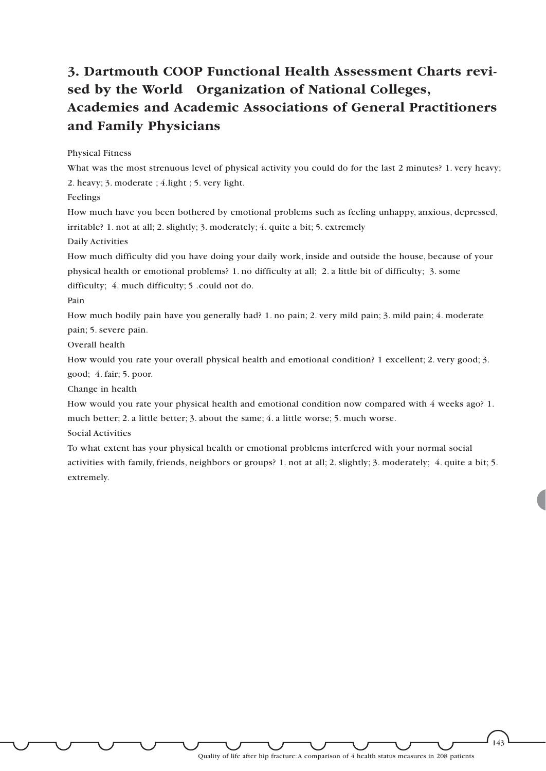# **3. Dartmouth COOP Functional Health Assessment Charts revised by the World Organization of National Colleges, Academies and Academic Associations of General Practitioners and Family Physicians**

#### Physical Fitness

What was the most strenuous level of physical activity you could do for the last 2 minutes? 1. very heavy; 2. heavy; 3. moderate ; 4.light ; 5. very light.

Feelings

How much have you been bothered by emotional problems such as feeling unhappy, anxious, depressed, irritable? 1. not at all; 2. slightly; 3. moderately; 4. quite a bit; 5. extremely

Daily Activities

How much difficulty did you have doing your daily work, inside and outside the house, because of your physical health or emotional problems? 1. no difficulty at all; 2. a little bit of difficulty; 3. some difficulty; 4. much difficulty; 5 .could not do.

Pain

How much bodily pain have you generally had? 1. no pain; 2. very mild pain; 3. mild pain; 4. moderate pain; 5. severe pain.

Overall health

How would you rate your overall physical health and emotional condition? 1 excellent; 2. very good; 3.

good; 4. fair; 5. poor.

Change in health

How would you rate your physical health and emotional condition now compared with 4 weeks ago? 1. much better; 2. a little better; 3. about the same; 4. a little worse; 5. much worse.

Social Activities

To what extent has your physical health or emotional problems interfered with your normal social activities with family, friends, neighbors or groups? 1. not at all; 2. slightly; 3. moderately; 4. quite a bit; 5. extremely.

Quality of life after hip fracture:A comparison of 4 health status measures in 208 patients